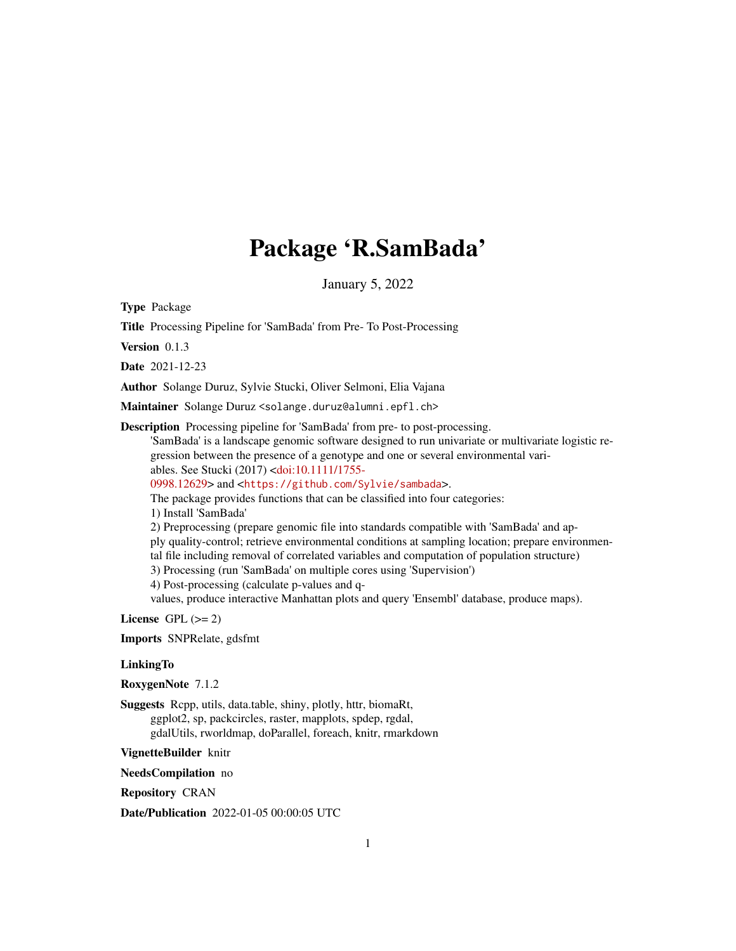## Package 'R.SamBada'

January 5, 2022

Type Package

Title Processing Pipeline for 'SamBada' from Pre- To Post-Processing

Version 0.1.3

Date 2021-12-23

Author Solange Duruz, Sylvie Stucki, Oliver Selmoni, Elia Vajana

Maintainer Solange Duruz <solange.duruz@alumni.epfl.ch>

Description Processing pipeline for 'SamBada' from pre- to post-processing.

'SamBada' is a landscape genomic software designed to run univariate or multivariate logistic regression between the presence of a genotype and one or several environmental variables. See Stucki (2017) [<doi:10.1111/1755-](https://doi.org/10.1111/1755-0998.12629)

[0998.12629>](https://doi.org/10.1111/1755-0998.12629) and <<https://github.com/Sylvie/sambada>>.

The package provides functions that can be classified into four categories:

1) Install 'SamBada'

2) Preprocessing (prepare genomic file into standards compatible with 'SamBada' and apply quality-control; retrieve environmental conditions at sampling location; prepare environmental file including removal of correlated variables and computation of population structure)

3) Processing (run 'SamBada' on multiple cores using 'Supervision')

4) Post-processing (calculate p-values and q-

values, produce interactive Manhattan plots and query 'Ensembl' database, produce maps).

License GPL  $(>= 2)$ 

Imports SNPRelate, gdsfmt

#### **LinkingTo**

RoxygenNote 7.1.2

Suggests Rcpp, utils, data.table, shiny, plotly, httr, biomaRt, ggplot2, sp, packcircles, raster, mapplots, spdep, rgdal, gdalUtils, rworldmap, doParallel, foreach, knitr, rmarkdown

VignetteBuilder knitr

NeedsCompilation no

Repository CRAN

Date/Publication 2022-01-05 00:00:05 UTC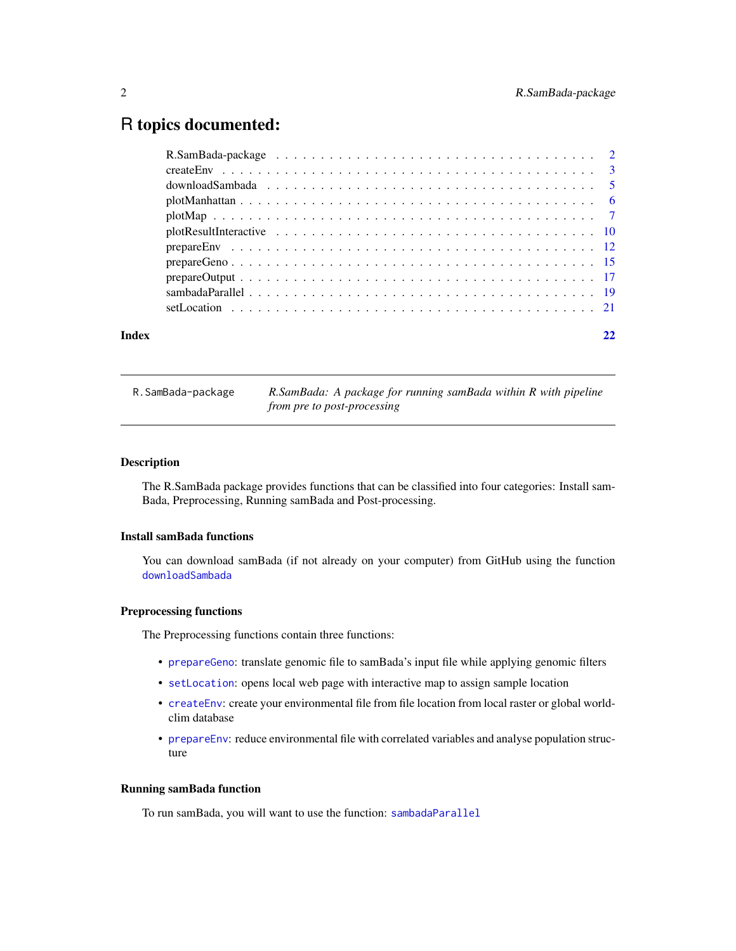### <span id="page-1-0"></span>R topics documented:

| Index |  |
|-------|--|
|       |  |
|       |  |
|       |  |
|       |  |
|       |  |
|       |  |
|       |  |
|       |  |
|       |  |
|       |  |
|       |  |

|  | R.SamBada-package |  |  |  |
|--|-------------------|--|--|--|
|--|-------------------|--|--|--|

R.SamBada-package *R.SamBada: A package for running samBada within R with pipeline from pre to post-processing*

#### Description

The R.SamBada package provides functions that can be classified into four categories: Install sam-Bada, Preprocessing, Running samBada and Post-processing.

#### Install samBada functions

You can download samBada (if not already on your computer) from GitHub using the function [downloadSambada](#page-4-1)

#### Preprocessing functions

The Preprocessing functions contain three functions:

- [prepareGeno](#page-14-1): translate genomic file to samBada's input file while applying genomic filters
- [setLocation](#page-20-1): opens local web page with interactive map to assign sample location
- [createEnv](#page-2-1): create your environmental file from file location from local raster or global worldclim database
- [prepareEnv](#page-11-1): reduce environmental file with correlated variables and analyse population structure

#### Running samBada function

To run samBada, you will want to use the function: [sambadaParallel](#page-18-1)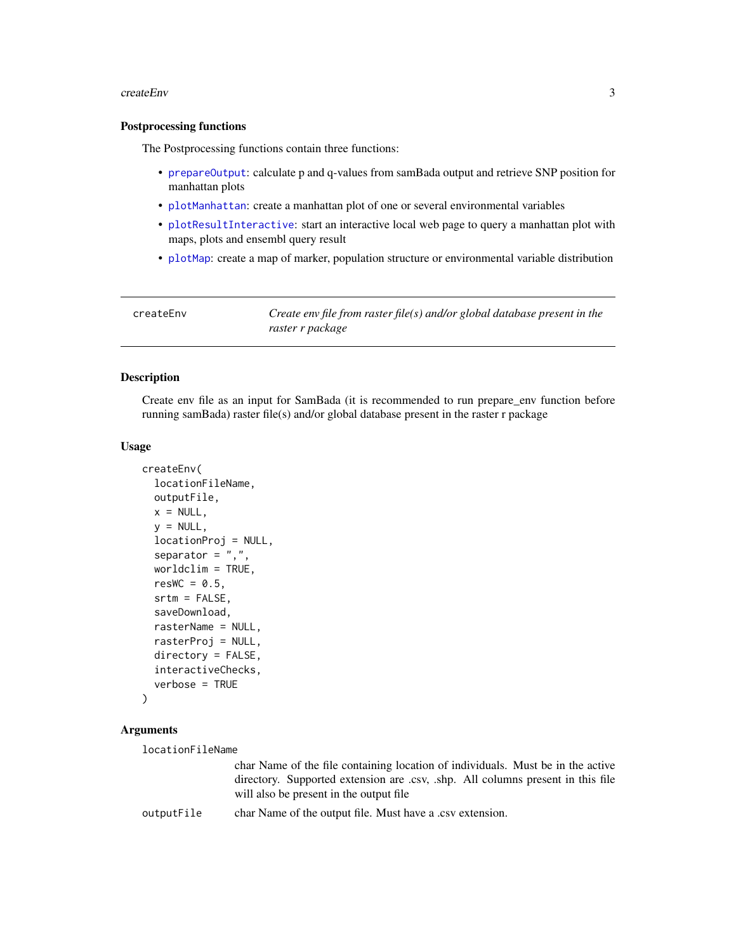#### <span id="page-2-0"></span>createEnv 3

#### Postprocessing functions

The Postprocessing functions contain three functions:

- [prepareOutput](#page-16-1): calculate p and q-values from samBada output and retrieve SNP position for manhattan plots
- [plotManhattan](#page-5-1): create a manhattan plot of one or several environmental variables
- [plotResultInteractive](#page-9-1): start an interactive local web page to query a manhattan plot with maps, plots and ensembl query result
- [plotMap](#page-6-1): create a map of marker, population structure or environmental variable distribution

<span id="page-2-1"></span>

| createEnv | Create env file from raster file(s) and/or global database present in the<br>raster r package |
|-----------|-----------------------------------------------------------------------------------------------|
|           |                                                                                               |

#### Description

Create env file as an input for SamBada (it is recommended to run prepare\_env function before running samBada) raster file(s) and/or global database present in the raster r package

#### Usage

```
createEnv(
  locationFileName,
  outputFile,
  x = NULL,y = NULL,locationProj = NULL,
  separator = ",",worldclim = TRUE,
  resWC = 0.5.
  srtm = FALSE,
  saveDownload,
  rasterName = NULL,
  rasterProj = NULL,
  directory = FALSE,
  interactiveChecks,
  verbose = TRUE
)
```
#### Arguments

locationFileName

char Name of the file containing location of individuals. Must be in the active directory. Supported extension are .csv, .shp. All columns present in this file will also be present in the output file

outputFile char Name of the output file. Must have a .csv extension.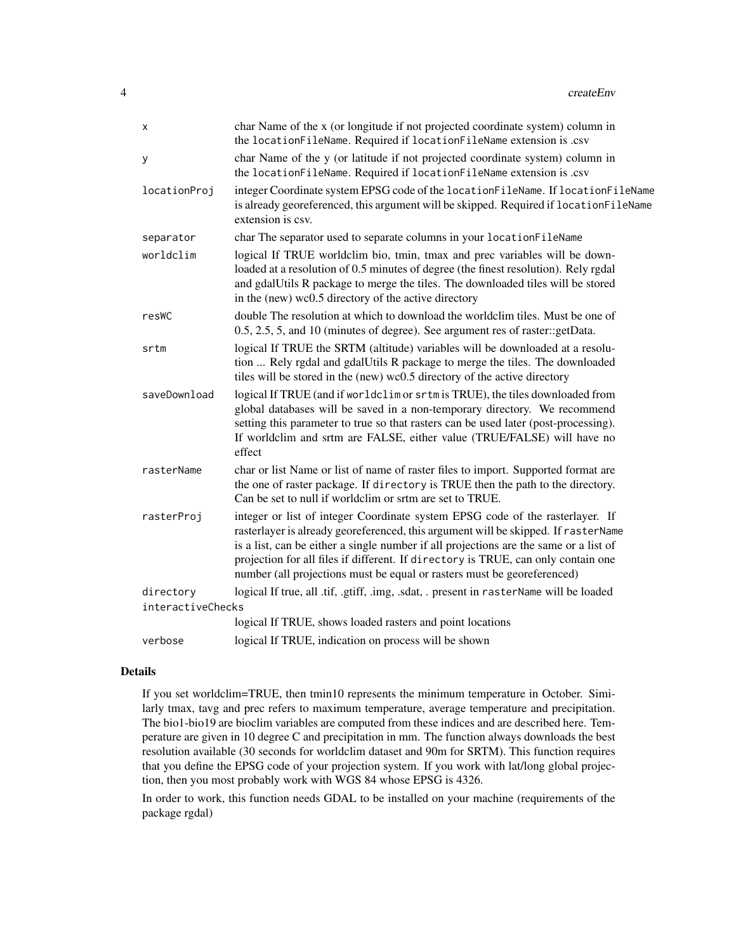| X                 | char Name of the x (or longitude if not projected coordinate system) column in<br>the locationFileName. Required if locationFileName extension is .csv                                                                                                                                                                                                                                                                       |
|-------------------|------------------------------------------------------------------------------------------------------------------------------------------------------------------------------------------------------------------------------------------------------------------------------------------------------------------------------------------------------------------------------------------------------------------------------|
| у                 | char Name of the y (or latitude if not projected coordinate system) column in<br>the locationFileName. Required if locationFileName extension is .csv                                                                                                                                                                                                                                                                        |
| locationProj      | integer Coordinate system EPSG code of the locationFileName. If locationFileName<br>is already georeferenced, this argument will be skipped. Required if locationFileName<br>extension is csv.                                                                                                                                                                                                                               |
| separator         | char The separator used to separate columns in your locationFileName                                                                                                                                                                                                                                                                                                                                                         |
| worldclim         | logical If TRUE worldclim bio, tmin, tmax and prec variables will be down-<br>loaded at a resolution of 0.5 minutes of degree (the finest resolution). Rely rgdal<br>and gdalUtils R package to merge the tiles. The downloaded tiles will be stored<br>in the (new) wc0.5 directory of the active directory                                                                                                                 |
| resWC             | double The resolution at which to download the worldclim tiles. Must be one of<br>0.5, 2.5, 5, and 10 (minutes of degree). See argument res of raster::getData.                                                                                                                                                                                                                                                              |
| srtm              | logical If TRUE the SRTM (altitude) variables will be downloaded at a resolu-<br>tion  Rely rgdal and gdalUtils R package to merge the tiles. The downloaded<br>tiles will be stored in the (new) wc0.5 directory of the active directory                                                                                                                                                                                    |
| saveDownload      | logical If TRUE (and if worldclim or srtm is TRUE), the tiles downloaded from<br>global databases will be saved in a non-temporary directory. We recommend<br>setting this parameter to true so that rasters can be used later (post-processing).<br>If worldclim and srtm are FALSE, either value (TRUE/FALSE) will have no<br>effect                                                                                       |
| rasterName        | char or list Name or list of name of raster files to import. Supported format are<br>the one of raster package. If directory is TRUE then the path to the directory.<br>Can be set to null if worldclim or srtm are set to TRUE.                                                                                                                                                                                             |
| rasterProj        | integer or list of integer Coordinate system EPSG code of the rasterlayer. If<br>rasterlayer is already georeferenced, this argument will be skipped. If rasterName<br>is a list, can be either a single number if all projections are the same or a list of<br>projection for all files if different. If directory is TRUE, can only contain one<br>number (all projections must be equal or rasters must be georeferenced) |
| directory         | logical If true, all .tif, .gtiff, .img, .sdat, . present in rasterName will be loaded                                                                                                                                                                                                                                                                                                                                       |
| interactiveChecks |                                                                                                                                                                                                                                                                                                                                                                                                                              |
|                   | logical If TRUE, shows loaded rasters and point locations                                                                                                                                                                                                                                                                                                                                                                    |
| verbose           | logical If TRUE, indication on process will be shown                                                                                                                                                                                                                                                                                                                                                                         |

#### Details

If you set worldclim=TRUE, then tmin10 represents the minimum temperature in October. Similarly tmax, tavg and prec refers to maximum temperature, average temperature and precipitation. The bio1-bio19 are bioclim variables are computed from these indices and are described here. Temperature are given in 10 degree C and precipitation in mm. The function always downloads the best resolution available (30 seconds for worldclim dataset and 90m for SRTM). This function requires that you define the EPSG code of your projection system. If you work with lat/long global projection, then you most probably work with WGS 84 whose EPSG is 4326.

In order to work, this function needs GDAL to be installed on your machine (requirements of the package rgdal)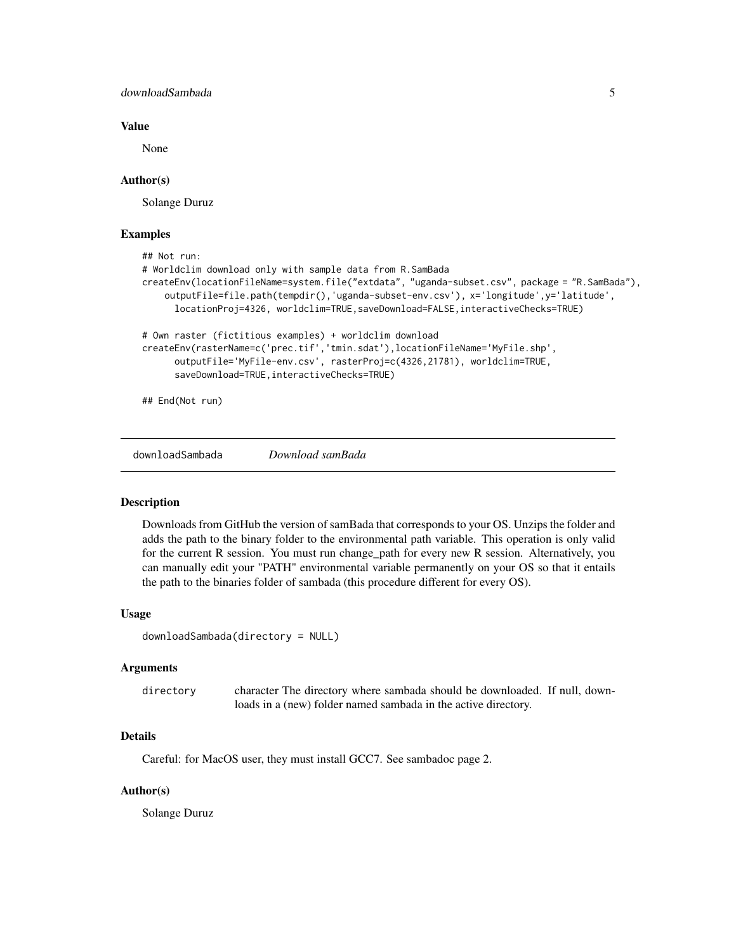#### <span id="page-4-0"></span>downloadSambada 5

#### Value

None

#### Author(s)

Solange Duruz

#### Examples

```
## Not run:
# Worldclim download only with sample data from R.SamBada
createEnv(locationFileName=system.file("extdata", "uganda-subset.csv", package = "R.SamBada"),
    outputFile=file.path(tempdir(),'uganda-subset-env.csv'), x='longitude',y='latitude',
      locationProj=4326, worldclim=TRUE,saveDownload=FALSE,interactiveChecks=TRUE)
# Own raster (fictitious examples) + worldclim download
createEnv(rasterName=c('prec.tif','tmin.sdat'),locationFileName='MyFile.shp',
      outputFile='MyFile-env.csv', rasterProj=c(4326,21781), worldclim=TRUE,
      saveDownload=TRUE,interactiveChecks=TRUE)
## End(Not run)
```
<span id="page-4-1"></span>downloadSambada *Download samBada*

#### Description

Downloads from GitHub the version of samBada that corresponds to your OS. Unzips the folder and adds the path to the binary folder to the environmental path variable. This operation is only valid for the current R session. You must run change\_path for every new R session. Alternatively, you can manually edit your "PATH" environmental variable permanently on your OS so that it entails the path to the binaries folder of sambada (this procedure different for every OS).

#### Usage

downloadSambada(directory = NULL)

#### Arguments

| directory | character The directory where sambada should be downloaded. If null, down- |
|-----------|----------------------------------------------------------------------------|
|           | loads in a (new) folder named sambada in the active directory.             |

#### Details

Careful: for MacOS user, they must install GCC7. See sambadoc page 2.

#### Author(s)

Solange Duruz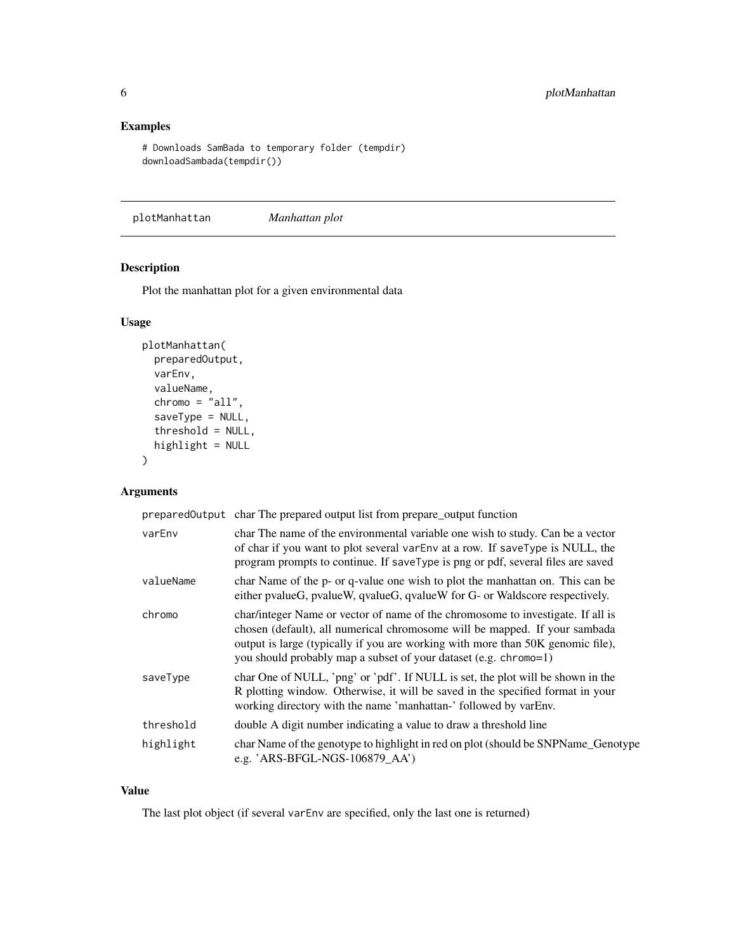#### <span id="page-5-0"></span>Examples

```
# Downloads SamBada to temporary folder (tempdir)
downloadSambada(tempdir())
```
<span id="page-5-1"></span>plotManhattan *Manhattan plot*

#### Description

Plot the manhattan plot for a given environmental data

#### Usage

```
plotManhattan(
 preparedOutput,
  varEnv,
  valueName,
  chromo = "all",saveType = NULL,
  threshold = NULL,
 highlight = NULL
)
```
#### Arguments

preparedOutput char The prepared output list from prepare\_output function

| varEnv    | char The name of the environmental variable one wish to study. Can be a vector<br>of char if you want to plot several varEnv at a row. If saveType is NULL, the<br>program prompts to continue. If saveType is png or pdf, several files are saved                                                                   |
|-----------|----------------------------------------------------------------------------------------------------------------------------------------------------------------------------------------------------------------------------------------------------------------------------------------------------------------------|
| valueName | char Name of the p- or q-value one wish to plot the manhattan on. This can be<br>either pvalueG, pvalueW, qvalueG, qvalueW for G- or Waldscore respectively.                                                                                                                                                         |
| chromo    | char/integer Name or vector of name of the chromosome to investigate. If all is<br>chosen (default), all numerical chromosome will be mapped. If your sambada<br>output is large (typically if you are working with more than 50K genomic file),<br>you should probably map a subset of your dataset (e.g. chromo=1) |
| saveType  | char One of NULL, 'png' or 'pdf'. If NULL is set, the plot will be shown in the<br>R plotting window. Otherwise, it will be saved in the specified format in your<br>working directory with the name 'manhattan-' followed by varEnv.                                                                                |
| threshold | double A digit number indicating a value to draw a threshold line                                                                                                                                                                                                                                                    |
| highlight | char Name of the genotype to highlight in red on plot (should be SNPName_Genotype<br>e.g. 'ARS-BFGL-NGS-106879_AA')                                                                                                                                                                                                  |

#### Value

The last plot object (if several varEnv are specified, only the last one is returned)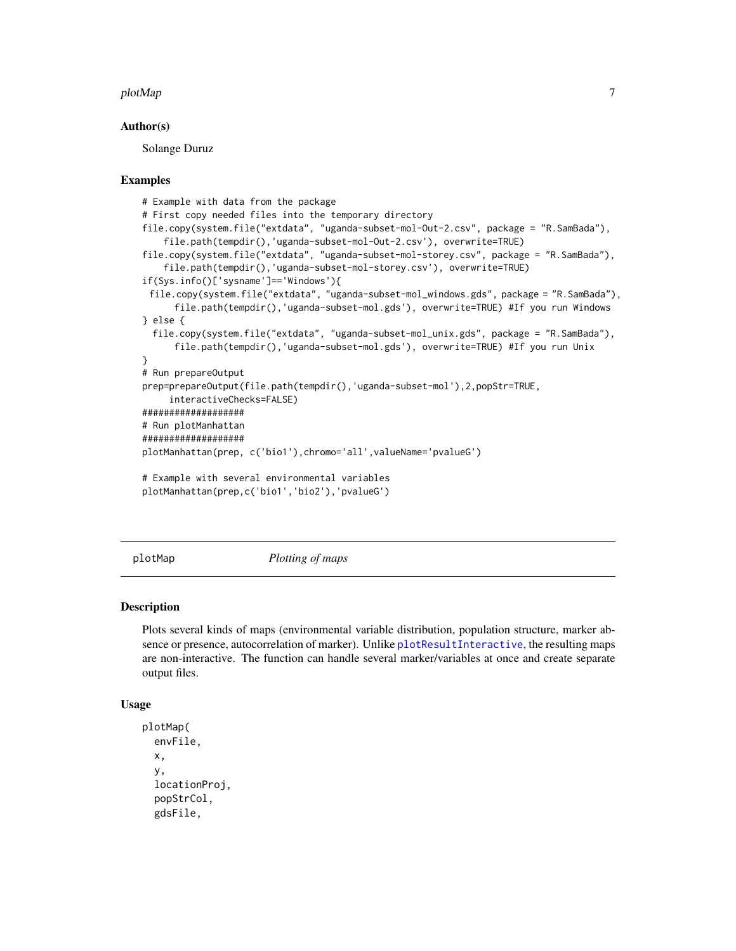#### <span id="page-6-0"></span>plotMap 2008 and 2008 and 2008 and 2008 and 2008 and 2008 and 2008 and 2008 and 2008 and 2008 and 2008 and 20

#### Author(s)

Solange Duruz

#### Examples

```
# Example with data from the package
# First copy needed files into the temporary directory
file.copy(system.file("extdata", "uganda-subset-mol-Out-2.csv", package = "R.SamBada"),
    file.path(tempdir(),'uganda-subset-mol-Out-2.csv'), overwrite=TRUE)
file.copy(system.file("extdata", "uganda-subset-mol-storey.csv", package = "R.SamBada"),
    file.path(tempdir(),'uganda-subset-mol-storey.csv'), overwrite=TRUE)
if(Sys.info()['sysname']=='Windows'){
 file.copy(system.file("extdata", "uganda-subset-mol_windows.gds", package = "R.SamBada"),
     file.path(tempdir(),'uganda-subset-mol.gds'), overwrite=TRUE) #If you run Windows
} else {
 file.copy(system.file("extdata", "uganda-subset-mol_unix.gds", package = "R.SamBada"),
      file.path(tempdir(),'uganda-subset-mol.gds'), overwrite=TRUE) #If you run Unix
}
# Run prepareOutput
prep=prepareOutput(file.path(tempdir(),'uganda-subset-mol'),2,popStr=TRUE,
     interactiveChecks=FALSE)
###################
# Run plotManhattan
###################
plotManhattan(prep, c('bio1'),chromo='all',valueName='pvalueG')
# Example with several environmental variables
plotManhattan(prep,c('bio1','bio2'),'pvalueG')
```
<span id="page-6-1"></span>plotMap *Plotting of maps*

#### Description

Plots several kinds of maps (environmental variable distribution, population structure, marker absence or presence, autocorrelation of marker). Unlike [plotResultInteractive](#page-9-1), the resulting maps are non-interactive. The function can handle several marker/variables at once and create separate output files.

#### Usage

```
plotMap(
  envFile,
  x,
  y,
  locationProj,
  popStrCol,
  gdsFile,
```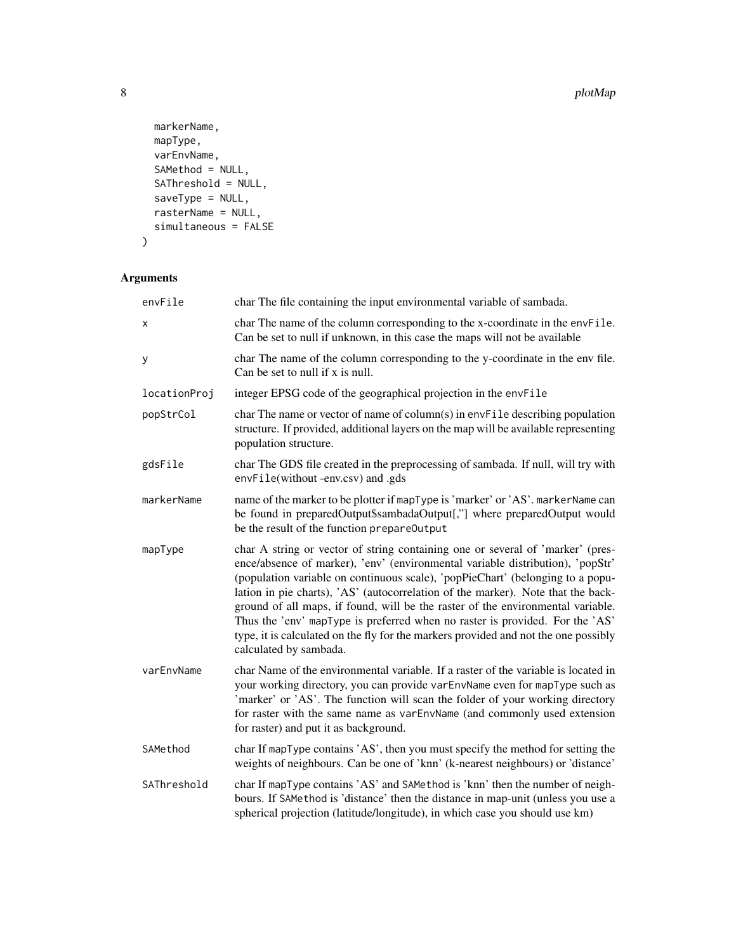```
markerName,
 mapType,
 varEnvName,
 SAMethod = NULL,
 SAThreshold = NULL,
 saveType = NULL,
 rasterName = NULL,
 simultaneous = FALSE
\mathcal{L}
```

| envFile      | char The file containing the input environmental variable of sambada.                                                                                                                                                                                                                                                                                                                                                                                                                                                                                                                                                      |
|--------------|----------------------------------------------------------------------------------------------------------------------------------------------------------------------------------------------------------------------------------------------------------------------------------------------------------------------------------------------------------------------------------------------------------------------------------------------------------------------------------------------------------------------------------------------------------------------------------------------------------------------------|
| x            | char The name of the column corresponding to the x-coordinate in the envFile.<br>Can be set to null if unknown, in this case the maps will not be available                                                                                                                                                                                                                                                                                                                                                                                                                                                                |
| y            | char The name of the column corresponding to the y-coordinate in the env file.<br>Can be set to null if x is null.                                                                                                                                                                                                                                                                                                                                                                                                                                                                                                         |
| locationProj | integer EPSG code of the geographical projection in the envFile                                                                                                                                                                                                                                                                                                                                                                                                                                                                                                                                                            |
| popStrCol    | char The name or vector of name of column(s) in envFile describing population<br>structure. If provided, additional layers on the map will be available representing<br>population structure.                                                                                                                                                                                                                                                                                                                                                                                                                              |
| gdsFile      | char The GDS file created in the preprocessing of sambada. If null, will try with<br>envFile(without-env.csv) and .gds                                                                                                                                                                                                                                                                                                                                                                                                                                                                                                     |
| markerName   | name of the marker to be plotter if mapType is 'marker' or 'AS'. markerName can<br>be found in preparedOutput\$sambadaOutput[,"] where preparedOutput would<br>be the result of the function prepare0utput                                                                                                                                                                                                                                                                                                                                                                                                                 |
| mapType      | char A string or vector of string containing one or several of 'marker' (pres-<br>ence/absence of marker), 'env' (environmental variable distribution), 'popStr'<br>(population variable on continuous scale), 'popPieChart' (belonging to a popu-<br>lation in pie charts), 'AS' (autocorrelation of the marker). Note that the back-<br>ground of all maps, if found, will be the raster of the environmental variable.<br>Thus the 'env' mapType is preferred when no raster is provided. For the 'AS'<br>type, it is calculated on the fly for the markers provided and not the one possibly<br>calculated by sambada. |
| varEnvName   | char Name of the environmental variable. If a raster of the variable is located in<br>your working directory, you can provide varEnvName even for mapType such as<br>'marker' or 'AS'. The function will scan the folder of your working directory<br>for raster with the same name as varEnvName (and commonly used extension<br>for raster) and put it as background.                                                                                                                                                                                                                                                    |
| SAMethod     | char If mapType contains 'AS', then you must specify the method for setting the<br>weights of neighbours. Can be one of 'knn' (k-nearest neighbours) or 'distance'                                                                                                                                                                                                                                                                                                                                                                                                                                                         |
| SAThreshold  | char If mapType contains 'AS' and SAMethod is 'knn' then the number of neigh-<br>bours. If SAMethod is 'distance' then the distance in map-unit (unless you use a<br>spherical projection (latitude/longitude), in which case you should use km)                                                                                                                                                                                                                                                                                                                                                                           |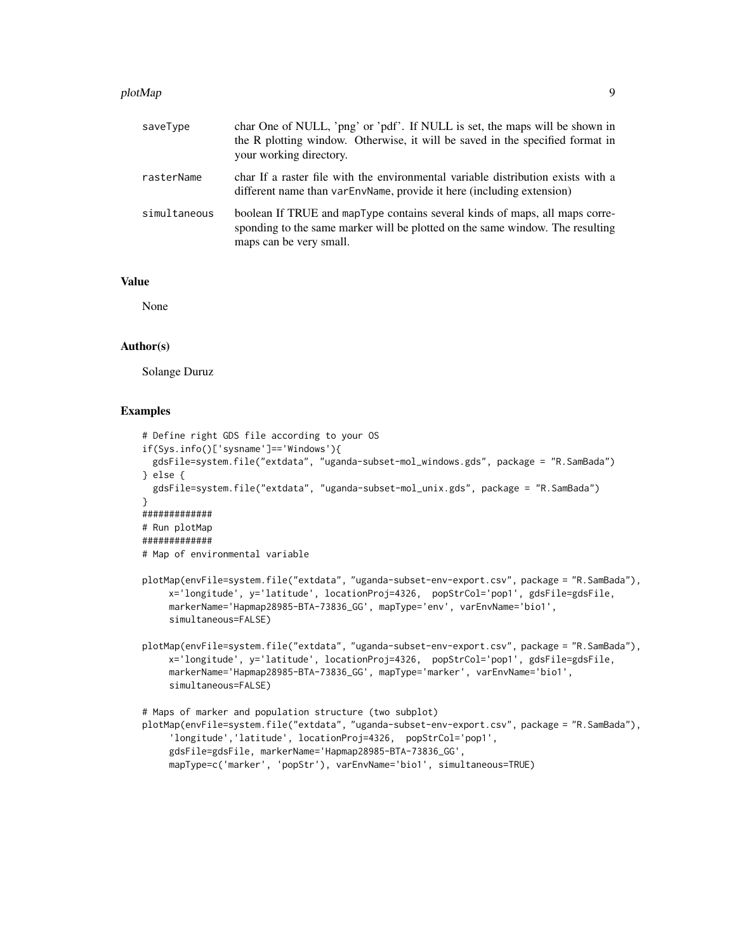#### plotMap 9 and 2012 12:00 plotMap 9 and 2012 12:00 plotMap 9 and 2012 12:00 plotMap 9 and 2012 12:00 plotMap 9 and 2013 12:00 plotMap 9 and 2013 12:00 plotMap 9 and 2013 12:00 plotMap 9 and 2013 12:00 plotMap 9 and 2013 12:

| saveType     | char One of NULL, 'png' or 'pdf'. If NULL is set, the maps will be shown in<br>the R plotting window. Otherwise, it will be saved in the specified format in<br>your working directory. |
|--------------|-----------------------------------------------------------------------------------------------------------------------------------------------------------------------------------------|
| rasterName   | char If a raster file with the environmental variable distribution exists with a<br>different name than varEnvName, provide it here (including extension)                               |
| simultaneous | boolean If TRUE and mapType contains several kinds of maps, all maps corre-<br>sponding to the same marker will be plotted on the same window. The resulting<br>maps can be very small. |

#### Value

None

#### Author(s)

Solange Duruz

#### Examples

```
# Define right GDS file according to your OS
if(Sys.info()['sysname']=='Windows'){
 gdsFile=system.file("extdata", "uganda-subset-mol_windows.gds", package = "R.SamBada")
} else {
 gdsFile=system.file("extdata", "uganda-subset-mol_unix.gds", package = "R.SamBada")
}
#############
# Run plotMap
#############
# Map of environmental variable
plotMap(envFile=system.file("extdata", "uganda-subset-env-export.csv", package = "R.SamBada"),
    x='longitude', y='latitude', locationProj=4326, popStrCol='pop1', gdsFile=gdsFile,
     markerName='Hapmap28985-BTA-73836_GG', mapType='env', varEnvName='bio1',
     simultaneous=FALSE)
plotMap(envFile=system.file("extdata", "uganda-subset-env-export.csv", package = "R.SamBada"),
     x='longitude', y='latitude', locationProj=4326, popStrCol='pop1', gdsFile=gdsFile,
     markerName='Hapmap28985-BTA-73836_GG', mapType='marker', varEnvName='bio1',
     simultaneous=FALSE)
# Maps of marker and population structure (two subplot)
plotMap(envFile=system.file("extdata", "uganda-subset-env-export.csv", package = "R.SamBada"),
     'longitude','latitude', locationProj=4326, popStrCol='pop1',
     gdsFile=gdsFile, markerName='Hapmap28985-BTA-73836_GG',
     mapType=c('marker', 'popStr'), varEnvName='bio1', simultaneous=TRUE)
```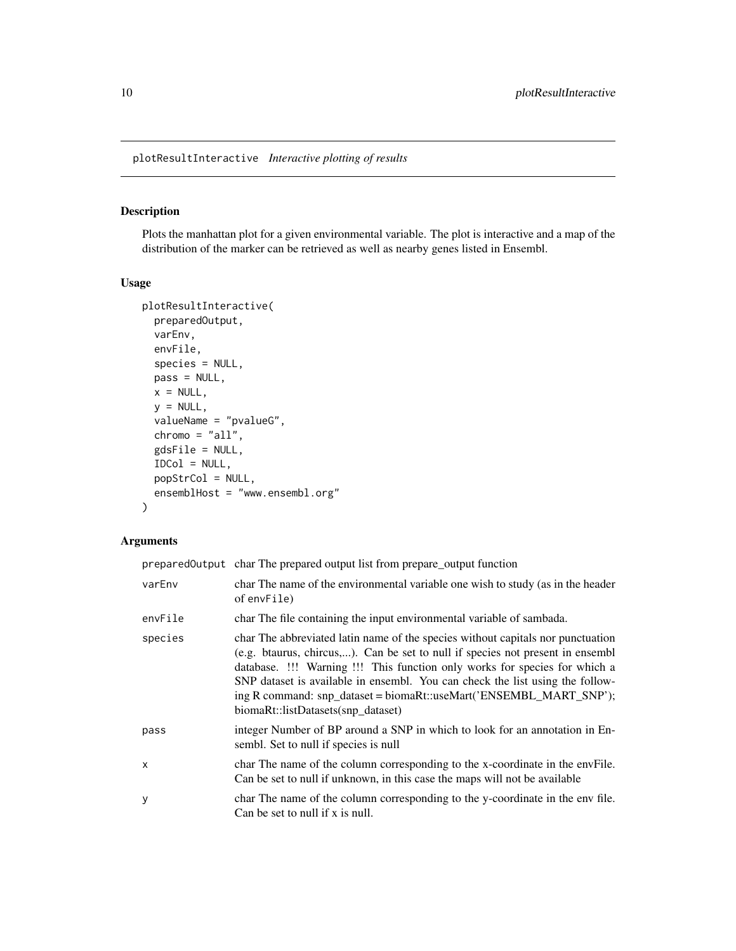<span id="page-9-1"></span><span id="page-9-0"></span>plotResultInteractive *Interactive plotting of results*

#### Description

Plots the manhattan plot for a given environmental variable. The plot is interactive and a map of the distribution of the marker can be retrieved as well as nearby genes listed in Ensembl.

#### Usage

```
plotResultInteractive(
 preparedOutput,
 varEnv,
  envFile,
  species = NULL,
 pass = NULL,
 x = NULL,y = NULL,valueName = "pvalueG",
  chromo = "all",
  gdsFile = NULL,
  IDCol = NULL,
 popStrCol = NULL,
  ensemblHost = "www.ensembl.org"
)
```

|         | prepared Output char The prepared output list from prepare_output function                                                                                                                                                                                                                                                                                                                                                                   |
|---------|----------------------------------------------------------------------------------------------------------------------------------------------------------------------------------------------------------------------------------------------------------------------------------------------------------------------------------------------------------------------------------------------------------------------------------------------|
| varEnv  | char The name of the environmental variable one wish to study (as in the header<br>of envFile)                                                                                                                                                                                                                                                                                                                                               |
| envFile | char The file containing the input environmental variable of sambada.                                                                                                                                                                                                                                                                                                                                                                        |
| species | char The abbreviated latin name of the species without capitals nor punctuation<br>(e.g. btaurus, chircus,). Can be set to null if species not present in ensembl<br>database. !!! Warning !!! This function only works for species for which a<br>SNP dataset is available in ensembl. You can check the list using the follow-<br>ing R command: snp_dataset = biomaRt::useMart('ENSEMBL_MART_SNP');<br>biomaRt::listDatasets(snp_dataset) |
| pass    | integer Number of BP around a SNP in which to look for an annotation in En-<br>sembl. Set to null if species is null                                                                                                                                                                                                                                                                                                                         |
| X       | char The name of the column corresponding to the x-coordinate in the envFile.<br>Can be set to null if unknown, in this case the maps will not be available                                                                                                                                                                                                                                                                                  |
| У       | char The name of the column corresponding to the y-coordinate in the env file.<br>Can be set to null if x is null.                                                                                                                                                                                                                                                                                                                           |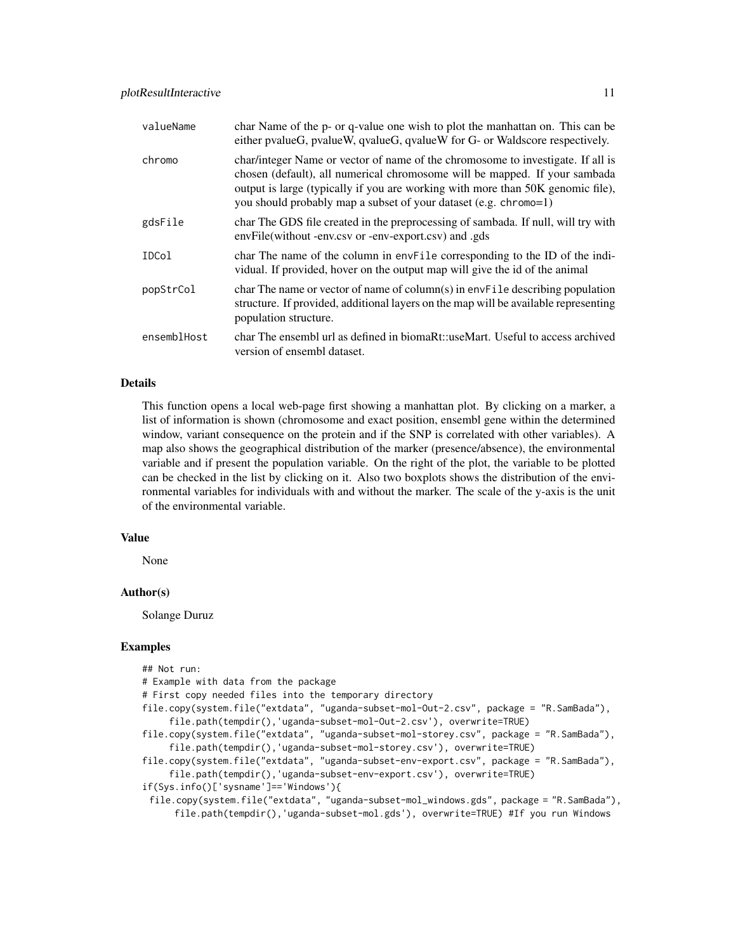| valueName   | char Name of the p- or q-value one wish to plot the manhattan on. This can be<br>either pvalueG, pvalueW, qvalueG, qvalueW for G- or Waldscore respectively.                                                                                                                                                         |
|-------------|----------------------------------------------------------------------------------------------------------------------------------------------------------------------------------------------------------------------------------------------------------------------------------------------------------------------|
| chromo      | char/integer Name or vector of name of the chromosome to investigate. If all is<br>chosen (default), all numerical chromosome will be mapped. If your sambada<br>output is large (typically if you are working with more than 50K genomic file),<br>you should probably map a subset of your dataset (e.g. chromo=1) |
| gdsFile     | char The GDS file created in the preprocessing of sambada. If null, will try with<br>envFile(without -env.csv or -env-export.csv) and .gds                                                                                                                                                                           |
| IDCol       | char The name of the column in envFile corresponding to the ID of the indi-<br>vidual. If provided, hover on the output map will give the id of the animal                                                                                                                                                           |
| popStrCol   | char The name or vector of name of column(s) in envFile describing population<br>structure. If provided, additional layers on the map will be available representing<br>population structure.                                                                                                                        |
| ensemblHost | char The ensembl url as defined in biomaRt::useMart. Useful to access archived<br>version of ensembl dataset.                                                                                                                                                                                                        |

#### Details

This function opens a local web-page first showing a manhattan plot. By clicking on a marker, a list of information is shown (chromosome and exact position, ensembl gene within the determined window, variant consequence on the protein and if the SNP is correlated with other variables). A map also shows the geographical distribution of the marker (presence/absence), the environmental variable and if present the population variable. On the right of the plot, the variable to be plotted can be checked in the list by clicking on it. Also two boxplots shows the distribution of the environmental variables for individuals with and without the marker. The scale of the y-axis is the unit of the environmental variable.

#### Value

None

#### Author(s)

Solange Duruz

#### Examples

| ## Not run:                                                                               |
|-------------------------------------------------------------------------------------------|
| # Example with data from the package                                                      |
| # First copy needed files into the temporary directory                                    |
| file.copy(system.file("extdata", "uganda-subset-mol-Out-2.csv", package = "R.SamBada"),   |
| file.path(tempdir(),'uganda-subset-mol-Out-2.csv'), overwrite=TRUE)                       |
| file.copy(system.file("extdata", "uganda-subset-mol-storey.csv", package = "R.SamBada"),  |
| file.path(tempdir(),'uganda-subset-mol-storey.csv'), overwrite=TRUE)                      |
| file.copy(system.file("extdata", "uganda-subset-env-export.csv", package = "R.SamBada"),  |
| file.path(tempdir(), 'uganda-subset-env-export.csv'), overwrite=TRUE)                     |
| if(Sys.info()['sysname']=='Windows'){                                                     |
| file.copy(system.file("extdata", "uganda-subset-mol_windows.gds", package = "R.SamBada"), |
| file.path(tempdir(),'uganda-subset-mol.gds'), overwrite=TRUE) #If you run Windows         |
|                                                                                           |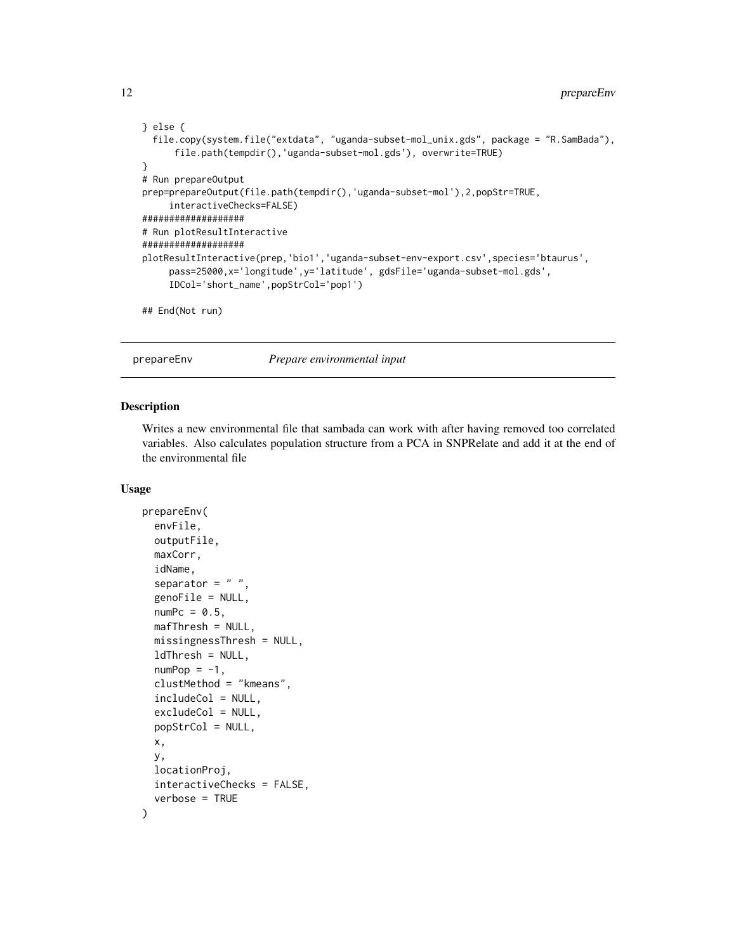```
} else {
 file.copy(system.file("extdata", "uganda-subset-mol_unix.gds", package = "R.SamBada"),
     file.path(tempdir(),'uganda-subset-mol.gds'), overwrite=TRUE)
}
# Run prepareOutput
prep=prepareOutput(file.path(tempdir(),'uganda-subset-mol'),2,popStr=TRUE,
     interactiveChecks=FALSE)
###################
# Run plotResultInteractive
###################
plotResultInteractive(prep,'bio1','uganda-subset-env-export.csv',species='btaurus',
     pass=25000,x='longitude',y='latitude', gdsFile='uganda-subset-mol.gds',
     IDCol='short_name',popStrCol='pop1')
## End(Not run)
```
<span id="page-11-1"></span>prepareEnv *Prepare environmental input*

#### Description

Writes a new environmental file that sambada can work with after having removed too correlated variables. Also calculates population structure from a PCA in SNPRelate and add it at the end of the environmental file

#### Usage

```
prepareEnv(
  envFile,
  outputFile,
  maxCorr,
  idName,
  separator = " "genoFile = NULL,
  numPc = 0.5,
 mafThresh = NULL,
 missingnessThresh = NULL,
  ldThresh = NULL,
  numPop = -1,
  clustMethod = "kmeans",
  includeCol = NULL,
  excludeCol = NULL,
 popStrCol = NULL,
  x,
  y,
  locationProj,
  interactiveChecks = FALSE,
  verbose = TRUE
)
```
<span id="page-11-0"></span>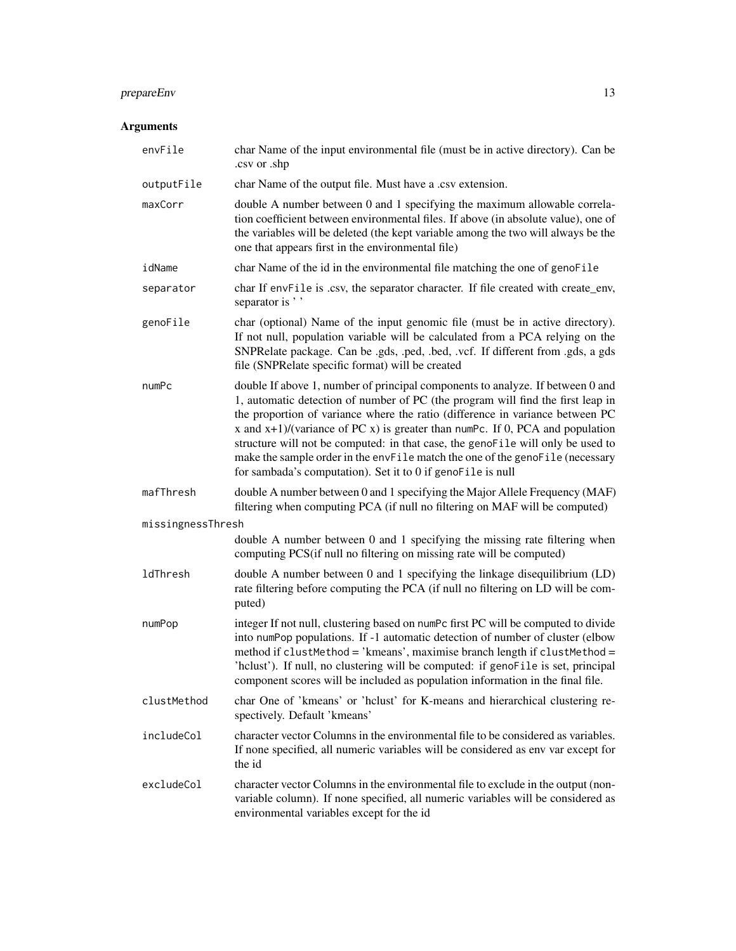### prepareEnv 13

| envFile           | char Name of the input environmental file (must be in active directory). Can be<br>.csv or .shp                                                                                                                                                                                                                                                                                                                                                                                                                                                                           |
|-------------------|---------------------------------------------------------------------------------------------------------------------------------------------------------------------------------------------------------------------------------------------------------------------------------------------------------------------------------------------------------------------------------------------------------------------------------------------------------------------------------------------------------------------------------------------------------------------------|
| outputFile        | char Name of the output file. Must have a .csv extension.                                                                                                                                                                                                                                                                                                                                                                                                                                                                                                                 |
| maxCorr           | double A number between 0 and 1 specifying the maximum allowable correla-<br>tion coefficient between environmental files. If above (in absolute value), one of<br>the variables will be deleted (the kept variable among the two will always be the<br>one that appears first in the environmental file)                                                                                                                                                                                                                                                                 |
| idName            | char Name of the id in the environmental file matching the one of genoFile                                                                                                                                                                                                                                                                                                                                                                                                                                                                                                |
| separator         | char If envFile is .csv, the separator character. If file created with create_env,<br>separator is ''                                                                                                                                                                                                                                                                                                                                                                                                                                                                     |
| genoFile          | char (optional) Name of the input genomic file (must be in active directory).<br>If not null, population variable will be calculated from a PCA relying on the<br>SNPRelate package. Can be .gds, .ped, .bed, .vcf. If different from .gds, a gds<br>file (SNPRelate specific format) will be created                                                                                                                                                                                                                                                                     |
| numPc             | double If above 1, number of principal components to analyze. If between 0 and<br>1, automatic detection of number of PC (the program will find the first leap in<br>the proportion of variance where the ratio (difference in variance between PC<br>x and $x+1$ )/(variance of PC x) is greater than numPc. If 0, PCA and population<br>structure will not be computed: in that case, the genoFile will only be used to<br>make the sample order in the envFile match the one of the genoFile (necessary<br>for sambada's computation). Set it to 0 if genoFile is null |
| mafThresh         | double A number between 0 and 1 specifying the Major Allele Frequency (MAF)<br>filtering when computing PCA (if null no filtering on MAF will be computed)                                                                                                                                                                                                                                                                                                                                                                                                                |
| missingnessThresh |                                                                                                                                                                                                                                                                                                                                                                                                                                                                                                                                                                           |
|                   | double A number between 0 and 1 specifying the missing rate filtering when<br>computing PCS(if null no filtering on missing rate will be computed)                                                                                                                                                                                                                                                                                                                                                                                                                        |
| ldThresh          | double A number between 0 and 1 specifying the linkage disequilibrium (LD)<br>rate filtering before computing the PCA (if null no filtering on LD will be com-<br>puted)                                                                                                                                                                                                                                                                                                                                                                                                  |
| numPop            | integer If not null, clustering based on numPc first PC will be computed to divide<br>into numPop populations. If -1 automatic detection of number of cluster (elbow<br>method if clustMethod = 'kmeans', maximise branch length if clustMethod =<br>'hclust'). If null, no clustering will be computed: if genoFile is set, principal<br>component scores will be included as population information in the final file.                                                                                                                                                  |
| clustMethod       | char One of 'kmeans' or 'hclust' for K-means and hierarchical clustering re-<br>spectively. Default 'kmeans'                                                                                                                                                                                                                                                                                                                                                                                                                                                              |
| includeCol        | character vector Columns in the environmental file to be considered as variables.<br>If none specified, all numeric variables will be considered as env var except for<br>the id                                                                                                                                                                                                                                                                                                                                                                                          |
| excludeCol        | character vector Columns in the environmental file to exclude in the output (non-<br>variable column). If none specified, all numeric variables will be considered as<br>environmental variables except for the id                                                                                                                                                                                                                                                                                                                                                        |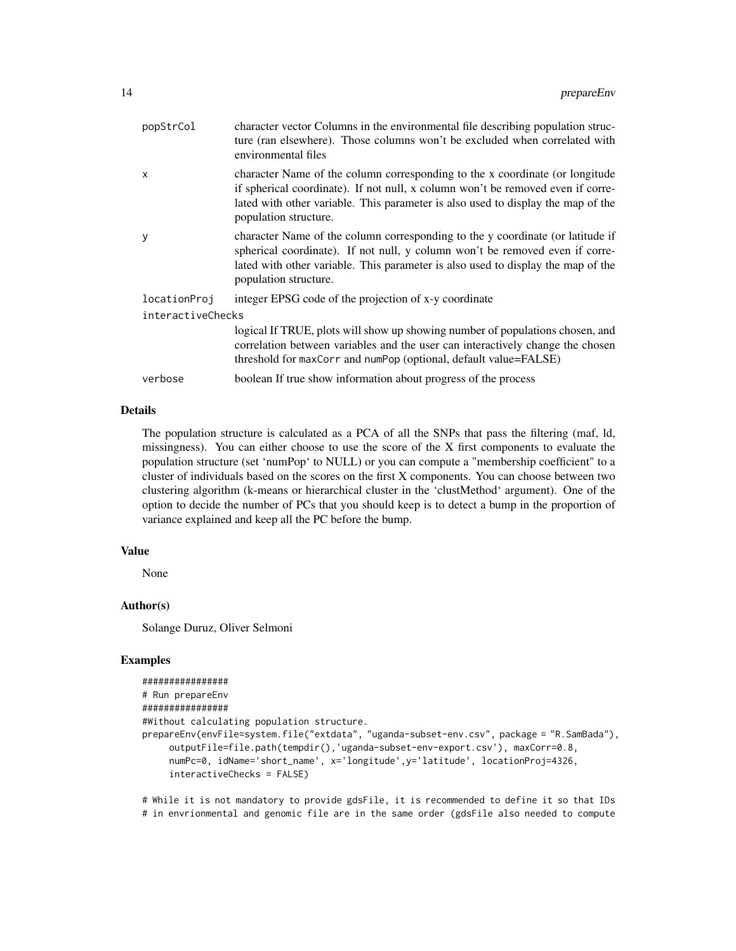| popStrCol         | character vector Columns in the environmental file describing population struc-<br>ture (ran elsewhere). Those columns won't be excluded when correlated with<br>environmental files                                                                                         |  |
|-------------------|------------------------------------------------------------------------------------------------------------------------------------------------------------------------------------------------------------------------------------------------------------------------------|--|
| X                 | character Name of the column corresponding to the x coordinate (or longitude<br>if spherical coordinate). If not null, x column won't be removed even if corre-<br>lated with other variable. This parameter is also used to display the map of the<br>population structure. |  |
| y                 | character Name of the column corresponding to the y coordinate (or latitude if<br>spherical coordinate). If not null, y column won't be removed even if corre-<br>lated with other variable. This parameter is also used to display the map of the<br>population structure.  |  |
| locationProj      | integer EPSG code of the projection of x-y coordinate                                                                                                                                                                                                                        |  |
| interactiveChecks |                                                                                                                                                                                                                                                                              |  |
|                   | logical If TRUE, plots will show up showing number of populations chosen, and<br>correlation between variables and the user can interactively change the chosen<br>threshold for maxCorr and numPop (optional, default value=FALSE)                                          |  |
| verbose           | boolean If true show information about progress of the process                                                                                                                                                                                                               |  |

#### Details

The population structure is calculated as a PCA of all the SNPs that pass the filtering (maf, ld, missingness). You can either choose to use the score of the X first components to evaluate the population structure (set 'numPop' to NULL) or you can compute a "membership coefficient" to a cluster of individuals based on the scores on the first X components. You can choose between two clustering algorithm (k-means or hierarchical cluster in the 'clustMethod' argument). One of the option to decide the number of PCs that you should keep is to detect a bump in the proportion of variance explained and keep all the PC before the bump.

#### Value

None

#### Author(s)

Solange Duruz, Oliver Selmoni

#### Examples

```
################
# Run prepareEnv
################
#Without calculating population structure.
prepareEnv(envFile=system.file("extdata", "uganda-subset-env.csv", package = "R.SamBada"),
     outputFile=file.path(tempdir(),'uganda-subset-env-export.csv'), maxCorr=0.8,
     numPc=0, idName='short_name', x='longitude',y='latitude', locationProj=4326,
     interactiveChecks = FALSE)
```
# While it is not mandatory to provide gdsFile, it is recommended to define it so that IDs # in envrionmental and genomic file are in the same order (gdsFile also needed to compute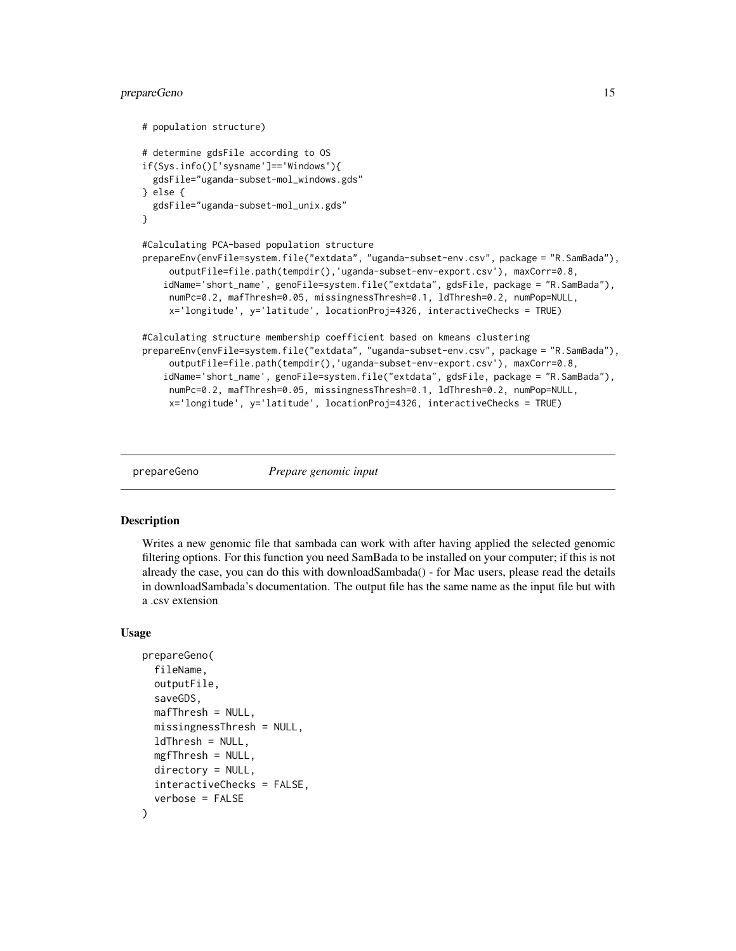#### <span id="page-14-0"></span>prepareGeno 15

```
# population structure)
# determine gdsFile according to OS
if(Sys.info()['sysname']=='Windows'){
 gdsFile="uganda-subset-mol_windows.gds"
} else {
 gdsFile="uganda-subset-mol_unix.gds"
}
#Calculating PCA-based population structure
prepareEnv(envFile=system.file("extdata", "uganda-subset-env.csv", package = "R.SamBada"),
     outputFile=file.path(tempdir(),'uganda-subset-env-export.csv'), maxCorr=0.8,
    idName='short_name', genoFile=system.file("extdata", gdsFile, package = "R.SamBada"),
     numPc=0.2, mafThresh=0.05, missingnessThresh=0.1, ldThresh=0.2, numPop=NULL,
     x='longitude', y='latitude', locationProj=4326, interactiveChecks = TRUE)
#Calculating structure membership coefficient based on kmeans clustering
prepareEnv(envFile=system.file("extdata", "uganda-subset-env.csv", package = "R.SamBada"),
     outputFile=file.path(tempdir(),'uganda-subset-env-export.csv'), maxCorr=0.8,
    idName='short_name', genoFile=system.file("extdata", gdsFile, package = "R.SamBada"),
     numPc=0.2, mafThresh=0.05, missingnessThresh=0.1, ldThresh=0.2, numPop=NULL,
     x='longitude', y='latitude', locationProj=4326, interactiveChecks = TRUE)
```
<span id="page-14-1"></span>

```
prepareGeno Prepare genomic input
```
#### **Description**

Writes a new genomic file that sambada can work with after having applied the selected genomic filtering options. For this function you need SamBada to be installed on your computer; if this is not already the case, you can do this with downloadSambada() - for Mac users, please read the details in downloadSambada's documentation. The output file has the same name as the input file but with a .csv extension

#### Usage

```
prepareGeno(
  fileName,
  outputFile,
  saveGDS,
  mafThresh = NULL,
 missingnessThresh = NULL,
  ldThresh = NULL,
  mgfThresh = NULL,
  directory = NULL,
  interactiveChecks = FALSE,
  verbose = FALSE
)
```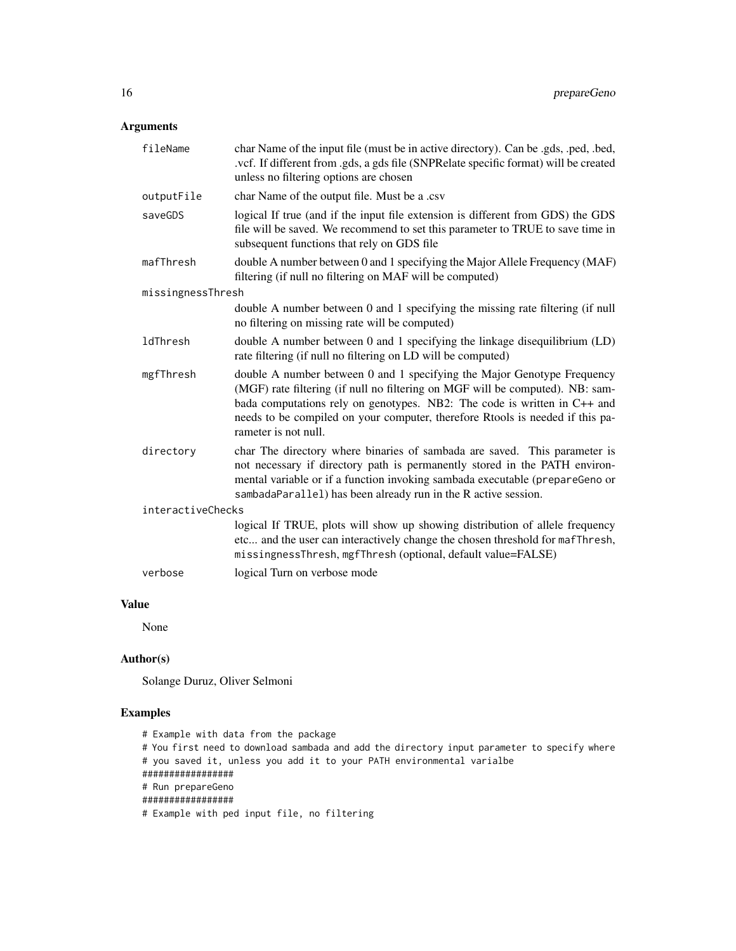#### Arguments

| fileName          | char Name of the input file (must be in active directory). Can be .gds, .ped, .bed,<br>.vcf. If different from .gds, a gds file (SNPRelate specific format) will be created<br>unless no filtering options are chosen                                                                                                                           |
|-------------------|-------------------------------------------------------------------------------------------------------------------------------------------------------------------------------------------------------------------------------------------------------------------------------------------------------------------------------------------------|
| outputFile        | char Name of the output file. Must be a .csv                                                                                                                                                                                                                                                                                                    |
| saveGDS           | logical If true (and if the input file extension is different from GDS) the GDS<br>file will be saved. We recommend to set this parameter to TRUE to save time in<br>subsequent functions that rely on GDS file                                                                                                                                 |
| mafThresh         | double A number between 0 and 1 specifying the Major Allele Frequency (MAF)<br>filtering (if null no filtering on MAF will be computed)                                                                                                                                                                                                         |
| missingnessThresh |                                                                                                                                                                                                                                                                                                                                                 |
|                   | double A number between 0 and 1 specifying the missing rate filtering (if null<br>no filtering on missing rate will be computed)                                                                                                                                                                                                                |
| ldThresh          | double A number between 0 and 1 specifying the linkage disequilibrium (LD)<br>rate filtering (if null no filtering on LD will be computed)                                                                                                                                                                                                      |
| mgfThresh         | double A number between 0 and 1 specifying the Major Genotype Frequency<br>(MGF) rate filtering (if null no filtering on MGF will be computed). NB: sam-<br>bada computations rely on genotypes. NB2: The code is written in $C++$ and<br>needs to be compiled on your computer, therefore Rtools is needed if this pa-<br>rameter is not null. |
| directory         | char The directory where binaries of sambada are saved. This parameter is<br>not necessary if directory path is permanently stored in the PATH environ-<br>mental variable or if a function invoking sambada executable (prepareGeno or<br>sambadaParallel) has been already run in the R active session.                                       |
| interactiveChecks |                                                                                                                                                                                                                                                                                                                                                 |
|                   | logical If TRUE, plots will show up showing distribution of allele frequency<br>etc and the user can interactively change the chosen threshold for mafThresh,<br>missingnessThresh, mgfThresh (optional, default value=FALSE)                                                                                                                   |
| verbose           | logical Turn on verbose mode                                                                                                                                                                                                                                                                                                                    |

#### Value

None

#### Author(s)

Solange Duruz, Oliver Selmoni

#### Examples

# Example with data from the package # You first need to download sambada and add the directory input parameter to specify where # you saved it, unless you add it to your PATH environmental varialbe ################# # Run prepareGeno ################# # Example with ped input file, no filtering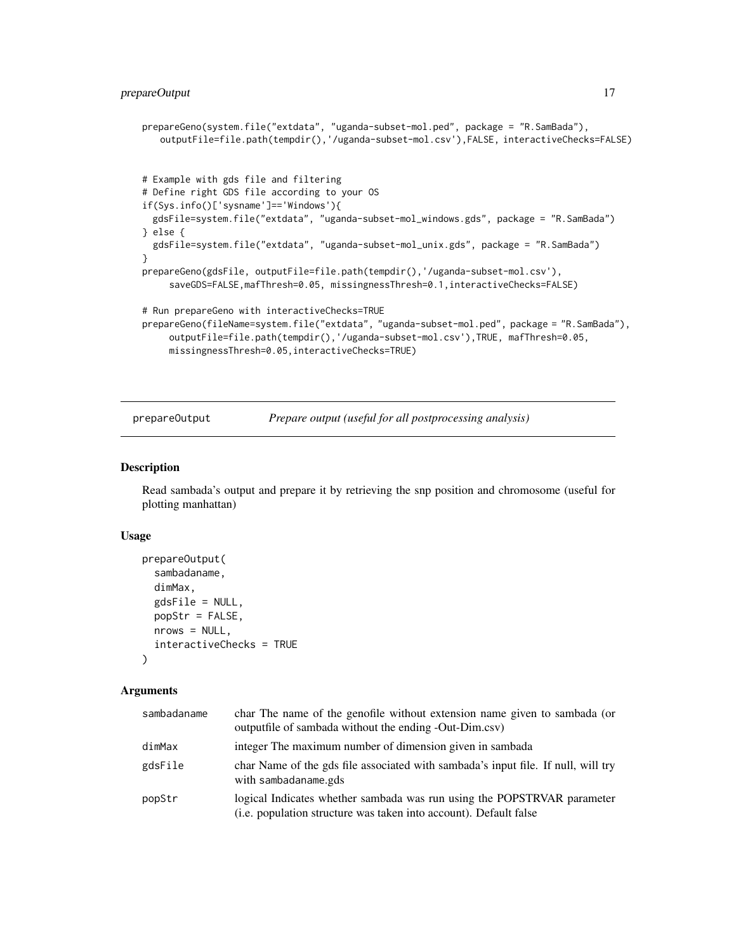```
prepareGeno(system.file("extdata", "uganda-subset-mol.ped", package = "R.SamBada"),
   outputFile=file.path(tempdir(),'/uganda-subset-mol.csv'),FALSE, interactiveChecks=FALSE)
# Example with gds file and filtering
# Define right GDS file according to your OS
if(Sys.info()['sysname']=='Windows'){
 gdsFile=system.file("extdata", "uganda-subset-mol_windows.gds", package = "R.SamBada")
} else {
 gdsFile=system.file("extdata", "uganda-subset-mol_unix.gds", package = "R.SamBada")
}
prepareGeno(gdsFile, outputFile=file.path(tempdir(),'/uganda-subset-mol.csv'),
     saveGDS=FALSE,mafThresh=0.05, missingnessThresh=0.1,interactiveChecks=FALSE)
# Run prepareGeno with interactiveChecks=TRUE
prepareGeno(fileName=system.file("extdata", "uganda-subset-mol.ped", package = "R.SamBada"),
     outputFile=file.path(tempdir(),'/uganda-subset-mol.csv'),TRUE, mafThresh=0.05,
     missingnessThresh=0.05,interactiveChecks=TRUE)
```
prepareOutput *Prepare output (useful for all postprocessing analysis)*

#### Description

Read sambada's output and prepare it by retrieving the snp position and chromosome (useful for plotting manhattan)

#### Usage

```
prepareOutput(
  sambadaname,
  dimMax,
  gdsFile = NULL,
 popStr = FALSE,
 nrows = NULL,interactiveChecks = TRUE
)
```

| sambadaname | char The name of the genofile without extension name given to sambada (or<br>output file of sambada without the ending -Out-Dim.csv)                 |
|-------------|------------------------------------------------------------------------------------------------------------------------------------------------------|
| dimMax      | integer The maximum number of dimension given in sambada                                                                                             |
| gdsFile     | char Name of the gds file associated with sambada's input file. If null, will try<br>with sambadaname.gds                                            |
| popStr      | logical Indicates whether sambada was run using the POPSTRVAR parameter<br>( <i>i.e.</i> population structure was taken into account). Default false |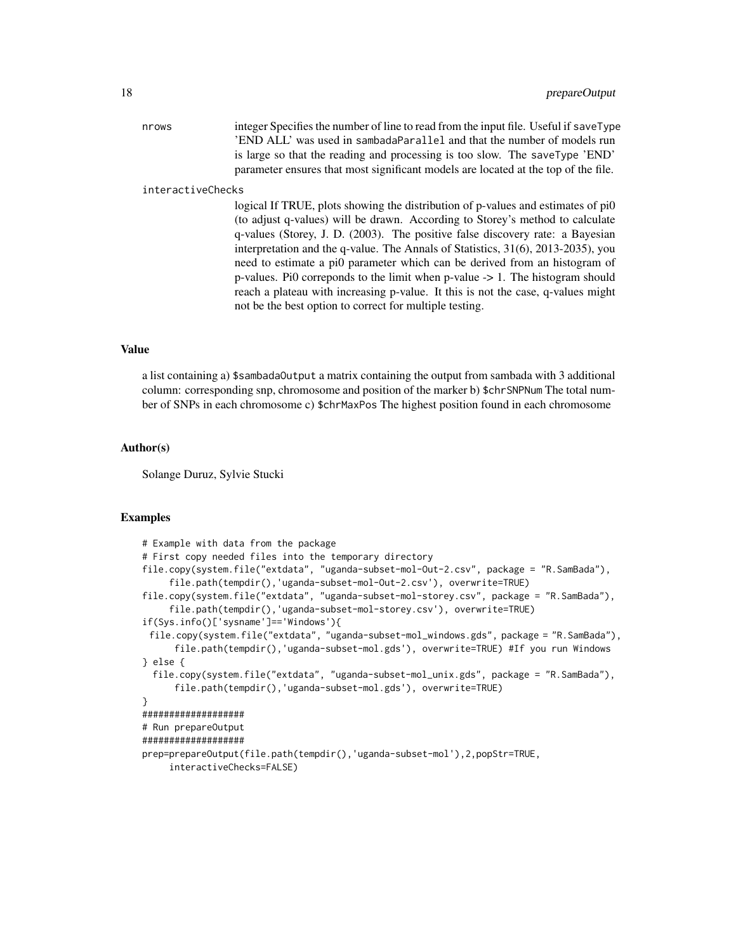nrows integer Specifies the number of line to read from the input file. Useful if saveType 'END ALL' was used in sambadaParallel and that the number of models run is large so that the reading and processing is too slow. The saveType 'END' parameter ensures that most significant models are located at the top of the file.

#### interactiveChecks

logical If TRUE, plots showing the distribution of p-values and estimates of pi0 (to adjust q-values) will be drawn. According to Storey's method to calculate q-values (Storey, J. D. (2003). The positive false discovery rate: a Bayesian interpretation and the q-value. The Annals of Statistics, 31(6), 2013-2035), you need to estimate a pi0 parameter which can be derived from an histogram of p-values. Pi0 correponds to the limit when p-value -> 1. The histogram should reach a plateau with increasing p-value. It this is not the case, q-values might not be the best option to correct for multiple testing.

#### Value

a list containing a) \$sambadaOutput a matrix containing the output from sambada with 3 additional column: corresponding snp, chromosome and position of the marker b) \$chrSNPNum The total number of SNPs in each chromosome c) \$chrMaxPos The highest position found in each chromosome

#### Author(s)

Solange Duruz, Sylvie Stucki

#### Examples

```
# Example with data from the package
# First copy needed files into the temporary directory
file.copy(system.file("extdata", "uganda-subset-mol-Out-2.csv", package = "R.SamBada"),
     file.path(tempdir(),'uganda-subset-mol-Out-2.csv'), overwrite=TRUE)
file.copy(system.file("extdata", "uganda-subset-mol-storey.csv", package = "R.SamBada"),
     file.path(tempdir(),'uganda-subset-mol-storey.csv'), overwrite=TRUE)
if(Sys.info()['sysname']=='Windows'){
 file.copy(system.file("extdata", "uganda-subset-mol_windows.gds", package = "R.SamBada"),
      file.path(tempdir(),'uganda-subset-mol.gds'), overwrite=TRUE) #If you run Windows
} else {
 file.copy(system.file("extdata", "uganda-subset-mol_unix.gds", package = "R.SamBada"),
      file.path(tempdir(),'uganda-subset-mol.gds'), overwrite=TRUE)
}
###################
# Run prepareOutput
###################
prep=prepareOutput(file.path(tempdir(),'uganda-subset-mol'),2,popStr=TRUE,
     interactiveChecks=FALSE)
```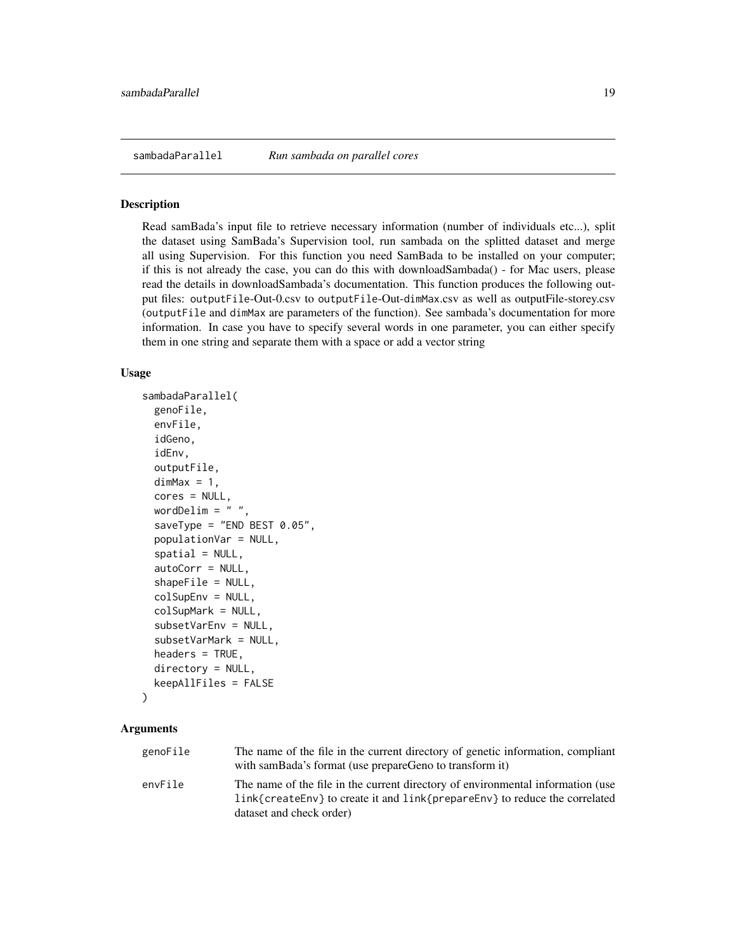<span id="page-18-1"></span><span id="page-18-0"></span>

#### Description

Read samBada's input file to retrieve necessary information (number of individuals etc...), split the dataset using SamBada's Supervision tool, run sambada on the splitted dataset and merge all using Supervision. For this function you need SamBada to be installed on your computer; if this is not already the case, you can do this with downloadSambada() - for Mac users, please read the details in downloadSambada's documentation. This function produces the following output files: outputFile-Out-0.csv to outputFile-Out-dimMax.csv as well as outputFile-storey.csv (outputFile and dimMax are parameters of the function). See sambada's documentation for more information. In case you have to specify several words in one parameter, you can either specify them in one string and separate them with a space or add a vector string

#### Usage

```
sambadaParallel(
  genoFile,
  envFile,
  idGeno,
  idEnv,
  outputFile,
  dimMax = 1,
  cores = NULL,
  wordDelim = " "saveType = "END BEST 0.05",
  populationVar = NULL,
  spatial = NULL,autoCorr = NULL,
  shapeFile = NULL,
  colSupEnv = NULL,
  colSupMark = NULL,
  subsetVarEnv = NULL,
  subsetVarMark = NULL,
  headers = TRUE,
  directory = NULL,
  keepAllFiles = FALSE
)
```

| genoFile | The name of the file in the current directory of genetic information, compliant |
|----------|---------------------------------------------------------------------------------|
|          | with samBada's format (use prepareGeno to transform it)                         |
| envFile  | The name of the file in the current directory of environmental information (use |
|          | link{createEnv} to create it and link{prepareEnv} to reduce the correlated      |
|          | dataset and check order)                                                        |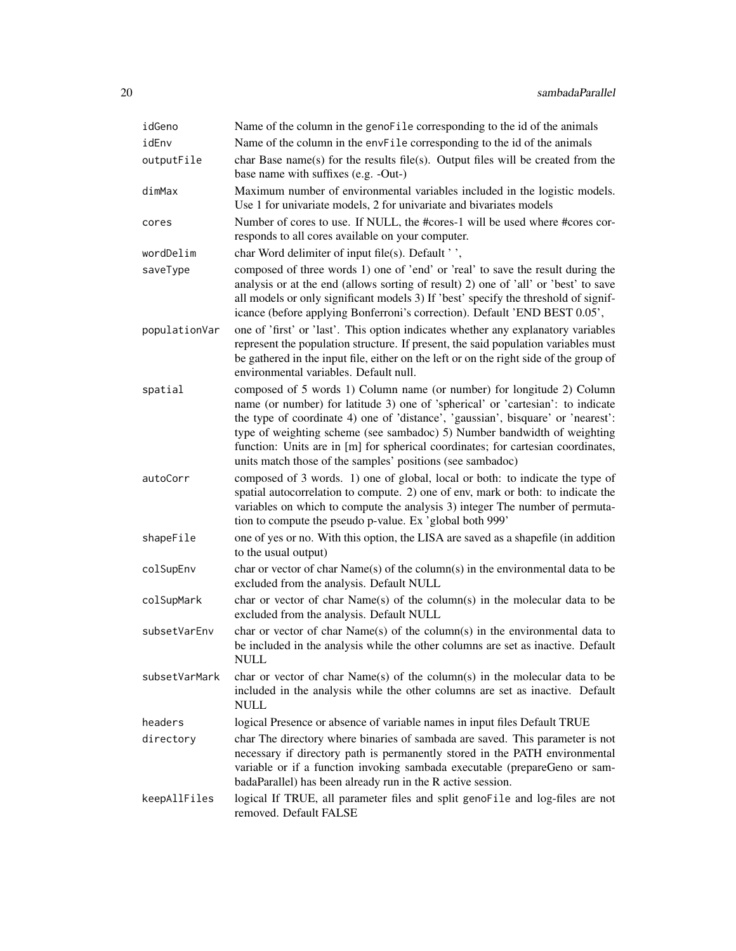| idGeno        | Name of the column in the genoFile corresponding to the id of the animals                                                                                                                                                                                                                                                                                                                                                                                                   |
|---------------|-----------------------------------------------------------------------------------------------------------------------------------------------------------------------------------------------------------------------------------------------------------------------------------------------------------------------------------------------------------------------------------------------------------------------------------------------------------------------------|
| idEnv         | Name of the column in the envFile corresponding to the id of the animals                                                                                                                                                                                                                                                                                                                                                                                                    |
| outputFile    | char Base name(s) for the results file(s). Output files will be created from the<br>base name with suffixes (e.g. -Out-)                                                                                                                                                                                                                                                                                                                                                    |
| dimMax        | Maximum number of environmental variables included in the logistic models.<br>Use 1 for univariate models, 2 for univariate and bivariates models                                                                                                                                                                                                                                                                                                                           |
| cores         | Number of cores to use. If NULL, the #cores-1 will be used where #cores cor-<br>responds to all cores available on your computer.                                                                                                                                                                                                                                                                                                                                           |
| wordDelim     | char Word delimiter of input file(s). Default '',                                                                                                                                                                                                                                                                                                                                                                                                                           |
| saveType      | composed of three words 1) one of 'end' or 'real' to save the result during the<br>analysis or at the end (allows sorting of result) 2) one of 'all' or 'best' to save<br>all models or only significant models 3) If 'best' specify the threshold of signif-<br>icance (before applying Bonferroni's correction). Default 'END BEST 0.05',                                                                                                                                 |
| populationVar | one of 'first' or 'last'. This option indicates whether any explanatory variables<br>represent the population structure. If present, the said population variables must<br>be gathered in the input file, either on the left or on the right side of the group of<br>environmental variables. Default null.                                                                                                                                                                 |
| spatial       | composed of 5 words 1) Column name (or number) for longitude 2) Column<br>name (or number) for latitude 3) one of 'spherical' or 'cartesian': to indicate<br>the type of coordinate 4) one of 'distance', 'gaussian', bisquare' or 'nearest':<br>type of weighting scheme (see sambadoc) 5) Number bandwidth of weighting<br>function: Units are in [m] for spherical coordinates; for cartesian coordinates,<br>units match those of the samples' positions (see sambadoc) |
| autoCorr      | composed of 3 words. 1) one of global, local or both: to indicate the type of<br>spatial autocorrelation to compute. 2) one of env, mark or both: to indicate the<br>variables on which to compute the analysis 3) integer The number of permuta-<br>tion to compute the pseudo p-value. Ex 'global both 999'                                                                                                                                                               |
| shapeFile     | one of yes or no. With this option, the LISA are saved as a shapefile (in addition<br>to the usual output)                                                                                                                                                                                                                                                                                                                                                                  |
| colSupEnv     | char or vector of char $Name(s)$ of the column(s) in the environmental data to be<br>excluded from the analysis. Default NULL                                                                                                                                                                                                                                                                                                                                               |
| colSupMark    | char or vector of char $Name(s)$ of the column(s) in the molecular data to be<br>excluded from the analysis. Default NULL                                                                                                                                                                                                                                                                                                                                                   |
| subsetVarEnv  | char or vector of char Name(s) of the column(s) in the environmental data to<br>be included in the analysis while the other columns are set as inactive. Default<br>NULL                                                                                                                                                                                                                                                                                                    |
| subsetVarMark | char or vector of char $Name(s)$ of the column(s) in the molecular data to be<br>included in the analysis while the other columns are set as inactive. Default<br>NULL                                                                                                                                                                                                                                                                                                      |
| headers       | logical Presence or absence of variable names in input files Default TRUE                                                                                                                                                                                                                                                                                                                                                                                                   |
| directory     | char The directory where binaries of sambada are saved. This parameter is not<br>necessary if directory path is permanently stored in the PATH environmental<br>variable or if a function invoking sambada executable (prepareGeno or sam-<br>badaParallel) has been already run in the R active session.                                                                                                                                                                   |
| keepAllFiles  | logical If TRUE, all parameter files and split genoFile and log-files are not<br>removed. Default FALSE                                                                                                                                                                                                                                                                                                                                                                     |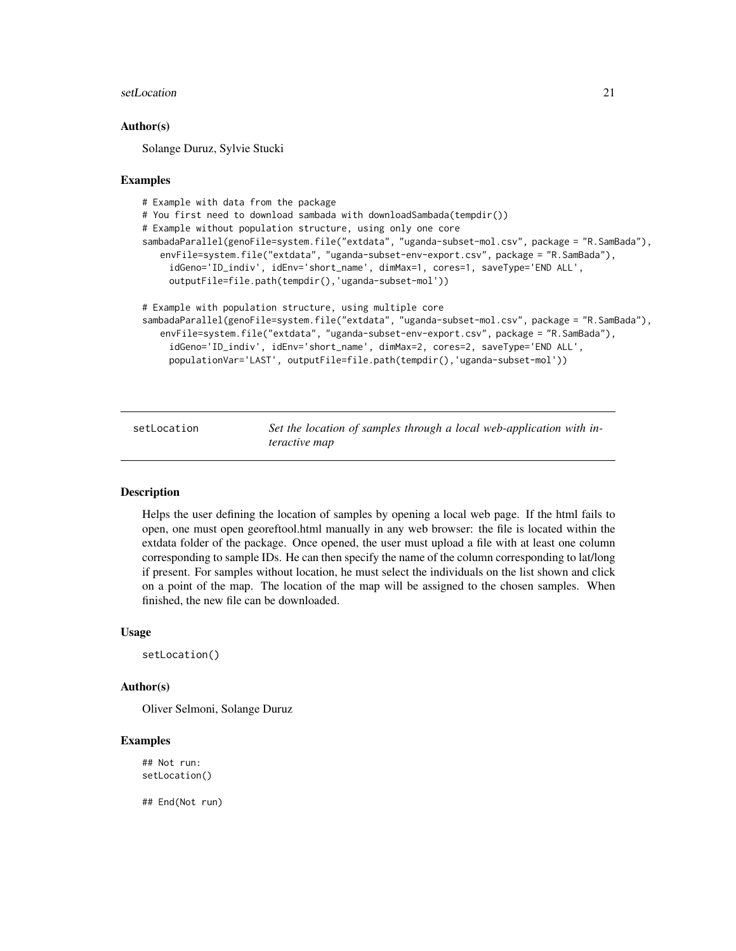#### <span id="page-20-0"></span>setLocation 21

#### Author(s)

Solange Duruz, Sylvie Stucki

#### Examples

```
# Example with data from the package
# You first need to download sambada with downloadSambada(tempdir())
# Example without population structure, using only one core
sambadaParallel(genoFile=system.file("extdata", "uganda-subset-mol.csv", package = "R.SamBada"),
   envFile=system.file("extdata", "uganda-subset-env-export.csv", package = "R.SamBada"),
     idGeno='ID_indiv', idEnv='short_name', dimMax=1, cores=1, saveType='END ALL',
     outputFile=file.path(tempdir(),'uganda-subset-mol'))
# Example with population structure, using multiple core
sambadaParallel(genoFile=system.file("extdata", "uganda-subset-mol.csv", package = "R.SamBada"),
   envFile=system.file("extdata", "uganda-subset-env-export.csv", package = "R.SamBada"),
     idGeno='ID_indiv', idEnv='short_name', dimMax=2, cores=2, saveType='END ALL',
     populationVar='LAST', outputFile=file.path(tempdir(),'uganda-subset-mol'))
```
<span id="page-20-1"></span>setLocation *Set the location of samples through a local web-application with interactive map*

#### Description

Helps the user defining the location of samples by opening a local web page. If the html fails to open, one must open georeftool.html manually in any web browser: the file is located within the extdata folder of the package. Once opened, the user must upload a file with at least one column corresponding to sample IDs. He can then specify the name of the column corresponding to lat/long if present. For samples without location, he must select the individuals on the list shown and click on a point of the map. The location of the map will be assigned to the chosen samples. When finished, the new file can be downloaded.

#### Usage

```
setLocation()
```
#### Author(s)

Oliver Selmoni, Solange Duruz

#### Examples

## Not run: setLocation()

## End(Not run)